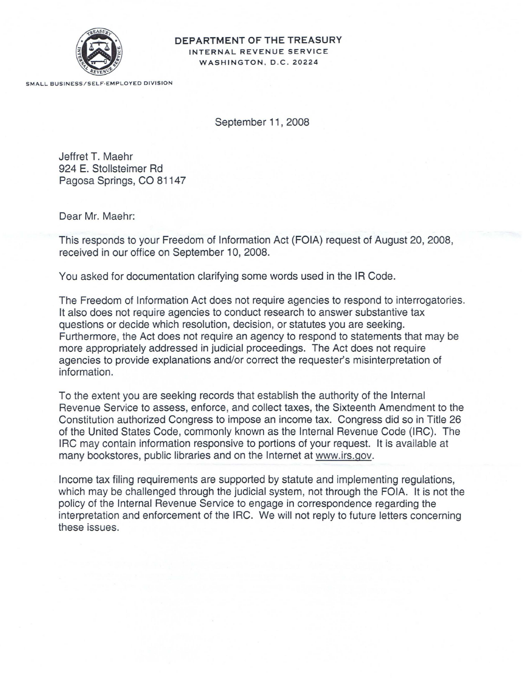

## **DEPARTMENT OF THE TREASURY** INTERNAL REVENUE SERVICE WASHINGTON, D.C. 20224

SMALL BUSINESS/SELF·EMPLOYED DIVISION

September 11,2008

Jeffret T. Maehr 924 E. Stollsteimer Rd Pagosa Springs, CO 81147

Dear Mr. Maehr:

This responds to your Freedom of Information Act (FOIA) request of August 20, 2008, received in our office on September 10, 2008.

You asked for documentation clarifying some words used in the IR Code.

The Freedom of Information Act does not require agencies to respond to interrogatories. It also does not require agencies to conduct research to answer substantive tax questions or decide which resolution, decision, or statutes you are seeking. Furthermore, the Act does not require an agency to respond to statements that may be more appropriately addressed in judicial proceedings. The Act does not require agencies to provide explanations and/or correct the requester's misinterpretation of information.

To the extent you are seeking records that establish the authority of the Internal Revenue Service to assess, enforce, and collect taxes, the Sixteenth Amendment to the Constitution authorized Congress to impose an income tax. Congress did so in Title 26 of the United States Code, commonly known as the Internal Revenue Code (IRC). The IRC may contain information responsive to portions of your request. It is available at many bookstores, public libraries and on the Internet at www.irs.gov.

Income tax filing requirements are supported by statute and implementing regulations, which may be challenged through the judicial system, not through the FOIA. It is not the policy of the Internal Revenue Service to engage in correspondence regarding the interpretation and enforcement of the IRC. We will not reply to future letters concerning these issues.